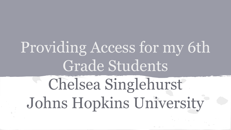# Providing Access for my 6th Grade Students Chelsea Singlehurst Johns Hopkins University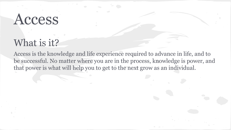### Access

#### What is it?

Access is the knowledge and life experience required to advance in life, and to be successful. No matter where you are in the process, knowledge is power, and that power is what will help you to get to the next grow as an individual.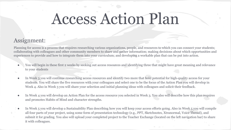### Access Action Plan

#### Assignment:

Planning for access is a process that requires researching various organizations, people, and resources to which you can connect your students; collaborating with colleagues and other community members to share and gather information; making decisions about which opportunities and experiences to provide and how to integrate them into your curriculum; and developing a workable plan that can be put into action.

- You will begin in these first 2 weeks by seeking out access resources and identifying three that might have great meaning and relevance to your students
- In Week 3 you will continue researching access resources and identify two more that hold potential for high-quality access for your students. You will share the five resources with your colleagues and select one to be the focus of the Action Plan you will develop in Week 4. Also in Week 3 you will share your selection and initial planning ideas with colleagues and solicit their feedback.
- In Week 4 you will develop an Action Plan for the access resource you selected in Week 3. You also will describe how this plan requires and promotes Habits of Mind and character strengths.
- In Week 5 you will develop a Sustainability Plan describing how you will keep your access efforts going. Also in Week 5 you will compile all four parts of your project, using some form of presentation technology (e.g., PPT, Sketchnotes, Xtranormal, Voice Thread), and submit it for grading. You also will upload your completed project to the Teacher Exchange (located on the left navigation bar) to share it with colleagues.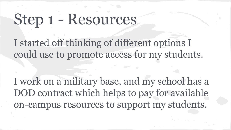## Step 1 - Resources

I started off thinking of different options I could use to promote access for my students.

I work on a military base, and my school has a DOD contract which helps to pay for available on-campus resources to support my students.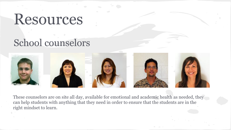#### School counselors



These counselors are on site all day, available for emotional and academic health as needed, they can help students with anything that they need in order to ensure that the students are in the right mindset to learn.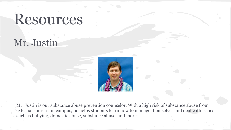#### Mr. Justin



Mr. Justin is our substance abuse prevention counselor. With a high risk of substance abuse from external sources on campus, he helps students learn how to manage themselves and deal with issues such as bullying, domestic abuse, substance abuse, and more.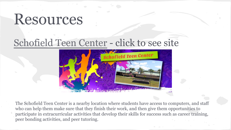#### [Schofield Teen Center](http://www.himwr.com/middle-school-a-teen-center/schofield-barracks-teen-center) - click to see site



The Schofield Teen Center is a nearby location where students have access to computers, and staff who can help them make sure that they finish their work, and then give them opportunities to participate in extracurricular activities that develop their skills for success such as career training, peer bonding activities, and peer tutoring.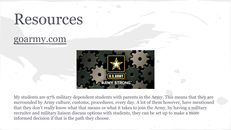#### goarmy.com



My students are 97% military dependent students with parents in the Army. This means that they are surrounded by Army culture, customs, procedures, every day. A lot of them however, have mentioned that they don't really know what that means or what it takes to join the Army, by having a military recruiter and military liaison discuss options with students, they can be set up to make a more informed decision if that is the path they choose.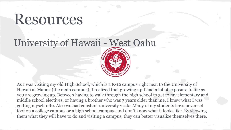#### University of Hawaii - West Oahu

As I was visiting my old High School, which is a K-12 campus right next to the University of Hawaii at Manoa (the main campus), I realized that growing up I had a lot of exposure to life as you are growing up. Between having to walk through the high school to get to my elementary and middle school electives, or having a brother who was 3 years older than me, I knew what I was getting myself into. Also we had constant university visits. Many of my students have never set foot on a college campus or a high school campus, and don't know what it looks like. By showing them what they will have to do and visiting a campus, they can better visualize themselves there.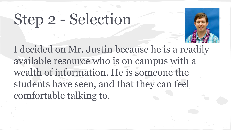## Step 2 - Selection



I decided on Mr. Justin because he is a readily available resource who is on campus with a wealth of information. He is someone the students have seen, and that they can feel comfortable talking to.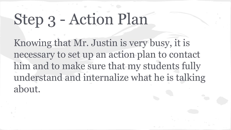## Step 3 - Action Plan

Knowing that Mr. Justin is very busy, it is necessary to set up an action plan to contact him and to make sure that my students fully understand and internalize what he is talking about.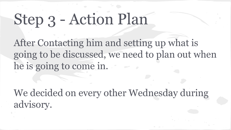# Step 3 - Action Plan

After Contacting him and setting up what is going to be discussed, we need to plan out when he is going to come in.

We decided on every other Wednesday during advisory.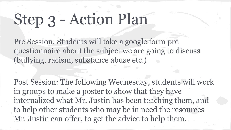## Step 3 - Action Plan

Pre Session: Students will take a google form pre questionnaire about the subject we are going to discuss (bullying, racism, substance abuse etc.)

Post Session: The following Wednesday, students will work in groups to make a poster to show that they have internalized what Mr. Justin has been teaching them, and to help other students who may be in need the resources Mr. Justin can offer, to get the advice to help them.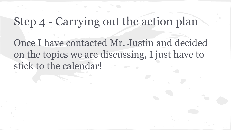#### Step 4 - Carrying out the action plan

Once I have contacted Mr. Justin and decided on the topics we are discussing, I just have to stick to the calendar!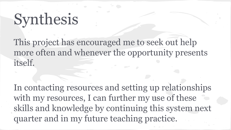## Synthesis

This project has encouraged me to seek out help more often and whenever the opportunity presents itself.

In contacting resources and setting up relationships with my resources, I can further my use of these skills and knowledge by continuing this system next quarter and in my future teaching practice.